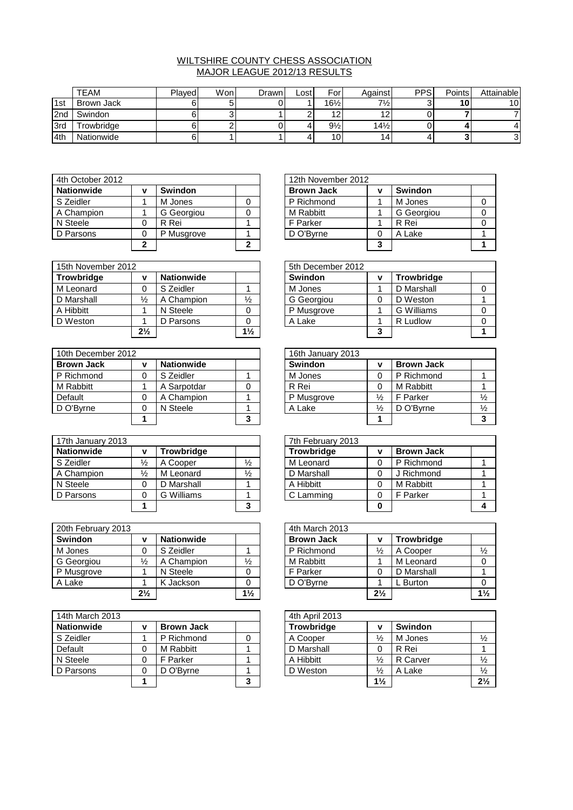## WILTSHIRE COUNTY CHESS ASSOCIATION MAJOR LEAGUE 2012/13 RESULTS

|                 | <b>TEAM</b>      | <b>Played</b> | Won. | Drawn | ∟ost | For             | Against         | <b>PPS</b> | <b>Points</b> | Attainable |
|-----------------|------------------|---------------|------|-------|------|-----------------|-----------------|------------|---------------|------------|
| 1st             | Brown Jack       |               |      |       |      | $16\frac{1}{2}$ | $7\frac{1}{2}$  |            | 10            | 10         |
| 2 <sub>nd</sub> | Swindon          |               |      |       |      | $\sqrt{2}$      |                 |            |               |            |
| 3rd             | <b>rowbridge</b> |               |      |       |      | $9\frac{1}{2}$  | $14\frac{1}{2}$ |            |               |            |
| 4th             | Nationwide       |               |      |       |      | 10              | 14              |            |               | ີ<br>J.    |

| 4th October 2012  |   |                | 12th November 2012 |        |                |  |
|-------------------|---|----------------|--------------------|--------|----------------|--|
| <b>Nationwide</b> | v | <b>Swindon</b> | <b>Brown Jack</b>  | ν      | <b>Swindon</b> |  |
| S Zeidler         |   | M Jones        | P Richmond         |        | M Jones        |  |
| A Champion        |   | G Georgiou     | M Rabbitt          |        | G Georgiou     |  |
| N Steele          |   | R Rei          | F Parker           |        | R Rei          |  |
| D Parsons         |   | P Musgrove     | D O'Bvrne          | C      | A Lake         |  |
|                   |   |                |                    | າ<br>J |                |  |

| 15th November 2012 |                |                   |                | 5th December 2012 |   |                   |  |  |  |
|--------------------|----------------|-------------------|----------------|-------------------|---|-------------------|--|--|--|
| <b>Trowbridge</b>  | v              | <b>Nationwide</b> |                | <b>Swindon</b>    | ν | <b>Trowbridge</b> |  |  |  |
| M Leonard          |                | S Zeidler         |                | M Jones           |   | D Marshall        |  |  |  |
| D Marshall         | $\frac{1}{2}$  | A Champion        | $\frac{1}{2}$  | G Georgiou        |   | D Weston          |  |  |  |
| A Hibbitt          |                | N Steele          |                | P Musgrove        |   | <b>G</b> Williams |  |  |  |
| D Weston           |                | D Parsons         |                | A Lake            |   | R Ludlow          |  |  |  |
|                    | $2\frac{1}{2}$ |                   | $1\frac{1}{2}$ |                   | 3 |                   |  |  |  |

| 10th December 2012 |                   |   | 16th January 2013 |               |                   |               |
|--------------------|-------------------|---|-------------------|---------------|-------------------|---------------|
| <b>Brown Jack</b>  | <b>Nationwide</b> |   | Swindon           | ν             | <b>Brown Jack</b> |               |
| P Richmond         | S Zeidler         |   | M Jones           |               | P Richmond        |               |
| M Rabbitt          | A Sarpotdar       |   | R Rei             |               | M Rabbitt         |               |
| Default            | A Champion        |   | P Musgrove        | $\frac{1}{2}$ | F Parker          | $\frac{1}{2}$ |
| D O'Byrne          | N Steele          |   | A Lake            | $\frac{1}{2}$ | D O'Bvrne         | $\frac{1}{2}$ |
|                    |                   | 3 |                   |               |                   |               |

| 17th January 2013 |               |                   |               | 7th February 2013 |   |                   |  |
|-------------------|---------------|-------------------|---------------|-------------------|---|-------------------|--|
| <b>Nationwide</b> | v             | <b>Trowbridge</b> |               | <b>Trowbridge</b> |   | <b>Brown Jack</b> |  |
| S Zeidler         | $\frac{1}{2}$ | A Cooper          | $\frac{1}{2}$ | M Leonard         | 0 | P Richmond        |  |
| A Champion        | $\frac{1}{2}$ | M Leonard         | $\frac{1}{2}$ | D Marshall        |   | Richmond          |  |
| N Steele          |               | D Marshall        |               | A Hibbitt         |   | M Rabbitt         |  |
| D Parsons         |               | G Williams        |               | C Lamming         |   | F Parker          |  |
|                   |               |                   | ◠             |                   |   |                   |  |

| 20th February 2013 |                |                   |                | 4th March 2013    |                |                   |                |
|--------------------|----------------|-------------------|----------------|-------------------|----------------|-------------------|----------------|
| <b>Swindon</b>     | v              | <b>Nationwide</b> |                | <b>Brown Jack</b> | v              | <b>Trowbridge</b> |                |
| M Jones            |                | S Zeidler         |                | P Richmond        | $\frac{1}{2}$  | A Cooper          | $\frac{1}{2}$  |
| G Georgiou         | $\frac{1}{2}$  | A Champion        | $\frac{1}{2}$  | M Rabbitt         |                | M Leonard         | $\Omega$       |
| P Musgrove         |                | N Steele          |                | F Parker          |                | D Marshall        |                |
| A Lake             |                | K Jackson         |                | D O'Bvrne         |                | L Burton          |                |
|                    | $2\frac{1}{2}$ |                   | $1\frac{1}{2}$ |                   | $2\frac{1}{2}$ |                   | 1 <sup>1</sup> |

| 14th March 2013   |   |                   |   | 4th April 2013    |                |                |                |
|-------------------|---|-------------------|---|-------------------|----------------|----------------|----------------|
| <b>Nationwide</b> | v | <b>Brown Jack</b> |   | <b>Trowbridge</b> | ν              | <b>Swindon</b> |                |
| S Zeidler         |   | P Richmond        |   | A Cooper          | $\frac{1}{2}$  | M Jones        | $\frac{1}{2}$  |
| Default           |   | M Rabbitt         |   | D Marshall        | 0              | R Rei          |                |
| N Steele          | 0 | F Parker          |   | A Hibbitt         | $\frac{1}{2}$  | R Carver       | $\frac{1}{2}$  |
| D Parsons         | ∩ | D O'Byrne         |   | D Weston          | $\frac{1}{2}$  | A Lake         | $\frac{1}{2}$  |
|                   |   |                   | 3 |                   | $1\frac{1}{2}$ |                | 2 <sup>1</sup> |

|                |                |   | 12th November 2012 |   |                |  |
|----------------|----------------|---|--------------------|---|----------------|--|
| v              | <b>Swindon</b> |   | <b>Brown Jack</b>  | v | <b>Swindon</b> |  |
|                | M Jones        |   | P Richmond         |   | M Jones        |  |
|                | G Georgiou     |   | M Rabbitt          |   | G Georgiou     |  |
| 0              | R Rei          |   | F Parker           |   | R Rei          |  |
| 0              | P Musgrove     |   | D O'Byrne          | 0 | A Lake         |  |
| $\overline{2}$ |                | ◠ |                    | 3 |                |  |

|                |                   |                | 5th December 2012 |   |                   |  |
|----------------|-------------------|----------------|-------------------|---|-------------------|--|
| v              | <b>Nationwide</b> |                | <b>Swindon</b>    | ν | <b>Trowbridge</b> |  |
|                | S Zeidler         |                | M Jones           |   | D Marshall        |  |
| $\frac{1}{2}$  | A Champion        | ⅓              | G Georgiou        | 0 | D Weston          |  |
|                | N Steele          |                | P Musgrove        |   | G Williams        |  |
|                | D Parsons         |                | A Lake            |   | R Ludlow          |  |
| $2\frac{1}{2}$ |                   | $1\frac{1}{2}$ |                   | a |                   |  |

|   |                   |   | 16th January 2013 |               |                   |               |
|---|-------------------|---|-------------------|---------------|-------------------|---------------|
| v | <b>Nationwide</b> |   | <b>Swindon</b>    | v             | <b>Brown Jack</b> |               |
| 0 | S Zeidler         |   | M Jones           |               | P Richmond        |               |
|   | A Sarpotdar       |   | R Rei             |               | M Rabbitt         |               |
| 0 | A Champion        |   | P Musgrove        | $\frac{1}{2}$ | F Parker          | $\frac{1}{2}$ |
| 0 | N Steele          |   | A Lake            | $\frac{1}{2}$ | D O'Byrne         | $\frac{1}{2}$ |
|   |                   | 3 |                   |               |                   |               |

|               |                   |               | 7th February 2013 |   |                   |  |
|---------------|-------------------|---------------|-------------------|---|-------------------|--|
| v             | <b>Trowbridge</b> |               | <b>Trowbridge</b> | v | <b>Brown Jack</b> |  |
| $\frac{1}{2}$ | A Cooper          | $\frac{1}{2}$ | M Leonard         |   | P Richmond        |  |
| $\frac{1}{2}$ | M Leonard         | ⅓             | D Marshall        |   | J Richmond        |  |
| 0             | D Marshall        |               | A Hibbitt         |   | M Rabbitt         |  |
| 0             | G Williams        |               | C Lamming         | 0 | F Parker          |  |
|               |                   | 3             |                   |   |                   |  |

|                |                   |                | 4th March 2013    |                |                   |                |
|----------------|-------------------|----------------|-------------------|----------------|-------------------|----------------|
| v              | <b>Nationwide</b> |                | <b>Brown Jack</b> | v              | <b>Trowbridge</b> |                |
|                | S Zeidler         |                | P Richmond        | $\frac{1}{2}$  | A Cooper          | $\frac{1}{2}$  |
| $\frac{1}{2}$  | A Champion        | $\frac{1}{2}$  | M Rabbitt         |                | M Leonard         |                |
|                | N Steele          |                | F Parker          |                | D Marshall        |                |
|                | K Jackson         |                | D O'Byrne         |                | L Burton          |                |
| $2\frac{1}{2}$ |                   | $1\frac{1}{2}$ |                   | $2\frac{1}{2}$ |                   | $1\frac{1}{2}$ |

|   |                   |   | 4th April 2013    |                |                |                |
|---|-------------------|---|-------------------|----------------|----------------|----------------|
| v | <b>Brown Jack</b> |   | <b>Trowbridge</b> | v              | <b>Swindon</b> |                |
|   | P Richmond        |   | A Cooper          | $\frac{1}{2}$  | M Jones        | $\frac{1}{2}$  |
| 0 | M Rabbitt         |   | D Marshall        | 0              | R Rei          |                |
| 0 | F Parker          |   | A Hibbitt         | $\frac{1}{2}$  | R Carver       | $\frac{1}{2}$  |
| 0 | D O'Byrne         |   | D Weston          | $\frac{1}{2}$  | A Lake         | $\frac{1}{2}$  |
|   |                   | 3 |                   | $1\frac{1}{2}$ |                | $2\frac{1}{2}$ |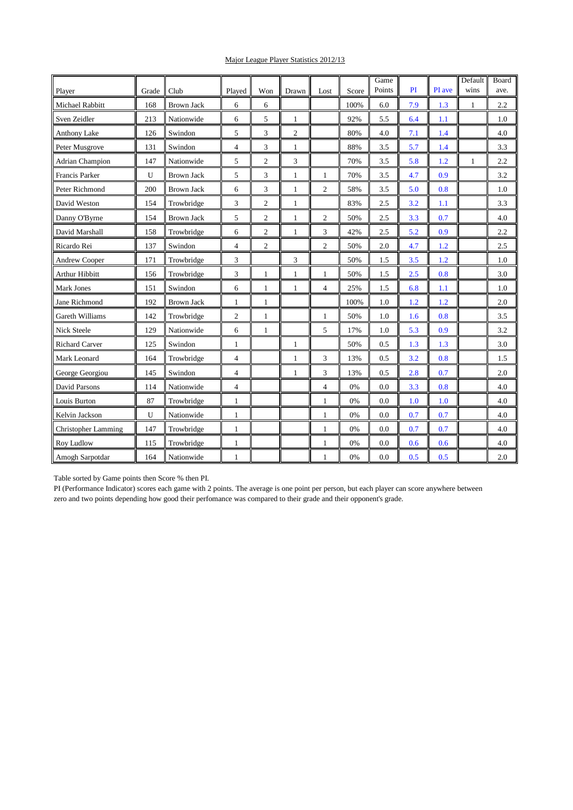## Major League Player Statistics 2012/13

|                            |              | Club              |                |                |                |                |       | Game<br>Points | PI  | PI ave | Default<br>wins | Board<br>ave. |
|----------------------------|--------------|-------------------|----------------|----------------|----------------|----------------|-------|----------------|-----|--------|-----------------|---------------|
| Player                     | Grade<br>168 |                   | Played         | Won            | Drawn          | Lost           | Score |                |     |        |                 |               |
| Michael Rabbitt            |              | <b>Brown Jack</b> | 6              | 6              |                |                | 100%  | 6.0            | 7.9 | 1.3    | $\mathbf{1}$    | 2.2           |
| Sven Zeidler               | 213          | Nationwide        | 6              | 5              | $\mathbf{1}$   |                | 92%   | 5.5            | 6.4 | 1.1    |                 | 1.0           |
| Anthony Lake               | 126          | Swindon           | 5              | 3              | $\overline{c}$ |                | 80%   | 4.0            | 7.1 | 1.4    |                 | 4.0           |
| Peter Musgrove             | 131          | Swindon           | $\overline{4}$ | 3              | $\mathbf{1}$   |                | 88%   | 3.5            | 5.7 | 1.4    |                 | 3.3           |
| <b>Adrian Champion</b>     | 147          | Nationwide        | 5              | $\overline{c}$ | 3              |                | 70%   | 3.5            | 5.8 | 1.2    | $\mathbf{1}$    | 2.2           |
| Francis Parker             | U            | <b>Brown Jack</b> | 5              | 3              | 1              | 1              | 70%   | 3.5            | 4.7 | 0.9    |                 | 3.2           |
| Peter Richmond             | 200          | <b>Brown Jack</b> | 6              | 3              | 1              | $\overline{c}$ | 58%   | 3.5            | 5.0 | 0.8    |                 | 1.0           |
| David Weston               | 154          | Trowbridge        | 3              | $\overline{c}$ | 1              |                | 83%   | 2.5            | 3.2 | 1.1    |                 | 3.3           |
| Danny O'Byrne              | 154          | <b>Brown Jack</b> | 5              | $\overline{c}$ | 1              | $\overline{c}$ | 50%   | 2.5            | 3.3 | 0.7    |                 | 4.0           |
| David Marshall             | 158          | Trowbridge        | 6              | $\overline{c}$ | $\mathbf{1}$   | 3              | 42%   | 2.5            | 5.2 | 0.9    |                 | 2.2           |
| Ricardo Rei                | 137          | Swindon           | $\overline{4}$ | $\overline{c}$ |                | $\overline{c}$ | 50%   | 2.0            | 4.7 | 1.2    |                 | 2.5           |
| Andrew Cooper              | 171          | Trowbridge        | 3              |                | 3              |                | 50%   | 1.5            | 3.5 | 1.2    |                 | 1.0           |
| <b>Arthur Hibbitt</b>      | 156          | Trowbridge        | 3              | 1              | 1              | 1              | 50%   | 1.5            | 2.5 | 0.8    |                 | 3.0           |
| <b>Mark Jones</b>          | 151          | Swindon           | 6              | 1              | 1              | 4              | 25%   | 1.5            | 6.8 | 1.1    |                 | 1.0           |
| Jane Richmond              | 192          | <b>Brown Jack</b> | 1              | 1              |                |                | 100%  | 1.0            | 1.2 | 1.2    |                 | 2.0           |
| <b>Gareth Williams</b>     | 142          | Trowbridge        | $\mathfrak{2}$ | 1              |                | 1              | 50%   | 1.0            | 1.6 | 0.8    |                 | 3.5           |
| Nick Steele                | 129          | Nationwide        | 6              | $\mathbf{1}$   |                | 5              | 17%   | 1.0            | 5.3 | 0.9    |                 | 3.2           |
| <b>Richard Carver</b>      | 125          | Swindon           | $\mathbf{1}$   |                | $\mathbf{1}$   |                | 50%   | 0.5            | 1.3 | 1.3    |                 | 3.0           |
| Mark Leonard               | 164          | Trowbridge        | $\overline{4}$ |                | $\mathbf{1}$   | 3              | 13%   | 0.5            | 3.2 | 0.8    |                 | 1.5           |
| George Georgiou            | 145          | Swindon           | $\overline{4}$ |                | 1              | 3              | 13%   | 0.5            | 2.8 | 0.7    |                 | 2.0           |
| <b>David Parsons</b>       | 114          | Nationwide        | $\overline{4}$ |                |                | $\overline{4}$ | 0%    | 0.0            | 3.3 | 0.8    |                 | 4.0           |
| Louis Burton               | 87           | Trowbridge        | $\mathbf{1}$   |                |                | 1              | 0%    | 0.0            | 1.0 | 1.0    |                 | 4.0           |
| Kelvin Jackson             | U            | Nationwide        | $\mathbf{1}$   |                |                | 1              | 0%    | 0.0            | 0.7 | 0.7    |                 | 4.0           |
| <b>Christopher Lamming</b> | 147          | Trowbridge        | $\mathbf{1}$   |                |                | 1              | 0%    | 0.0            | 0.7 | 0.7    |                 | 4.0           |
| Roy Ludlow                 | 115          | Trowbridge        | $\mathbf{1}$   |                |                | 1              | 0%    | 0.0            | 0.6 | 0.6    |                 | 4.0           |
| Amogh Sarpotdar            | 164          | Nationwide        | 1              |                |                | 1              | 0%    | 0.0            | 0.5 | 0.5    |                 | 2.0           |

Table sorted by Game points then Score % then PI.

PI (Performance Indicator) scores each game with 2 points. The average is one point per person, but each player can score anywhere between zero and two points depending how good their perfomance was compared to their grade and their opponent's grade.